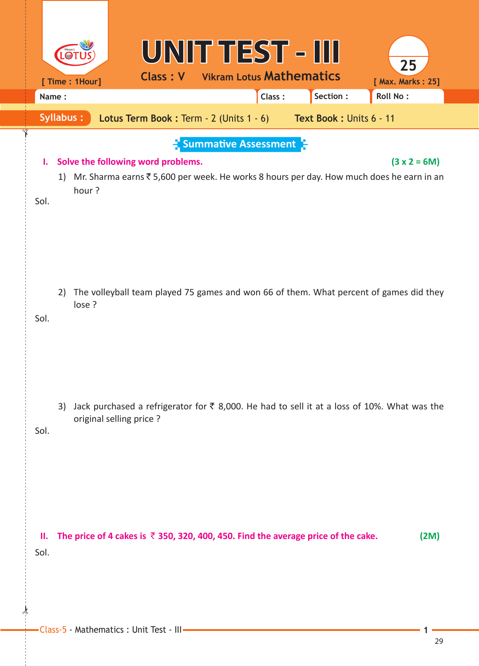|            |       | [ Time : 1Hour]  |                         | <b>Class: V</b>                    | UNIT TEST - III                                | <b>Vikram Lotus Mathematics</b> |        |                                                                                              | 25<br>[ Max. Marks: 25]                                                                                      |
|------------|-------|------------------|-------------------------|------------------------------------|------------------------------------------------|---------------------------------|--------|----------------------------------------------------------------------------------------------|--------------------------------------------------------------------------------------------------------------|
|            | Name: |                  |                         |                                    |                                                |                                 | Class: | Section:                                                                                     | Roll No:                                                                                                     |
|            |       | <b>Syllabus:</b> |                         |                                    | <b>Lotus Term Book: Term - 2 (Units 1 - 6)</b> |                                 |        | Text Book : Units 6 - 11                                                                     |                                                                                                              |
| Ъ.<br>Sol. |       | hour?            |                         | Solve the following word problems. |                                                | <b>Summative Assessment</b>     |        |                                                                                              | $(3 x 2 = 6M)$<br>1) Mr. Sharma earns ₹5,600 per week. He works 8 hours per day. How much does he earn in an |
| Sol.       | 2)    | lose ?           |                         |                                    |                                                |                                 |        |                                                                                              | The volleyball team played 75 games and won 66 of them. What percent of games did they                       |
| Sol.       | 3)    |                  | original selling price? |                                    |                                                |                                 |        |                                                                                              | Jack purchased a refrigerator for ₹ 8,000. He had to sell it at a loss of 10%. What was the                  |
| Ш.<br>Sol. |       |                  |                         |                                    |                                                |                                 |        | The price of 4 cakes is $\bar{\tau}$ 350, 320, 400, 450. Find the average price of the cake. | (2M)                                                                                                         |

 $\frac{1}{2}$ 

✁